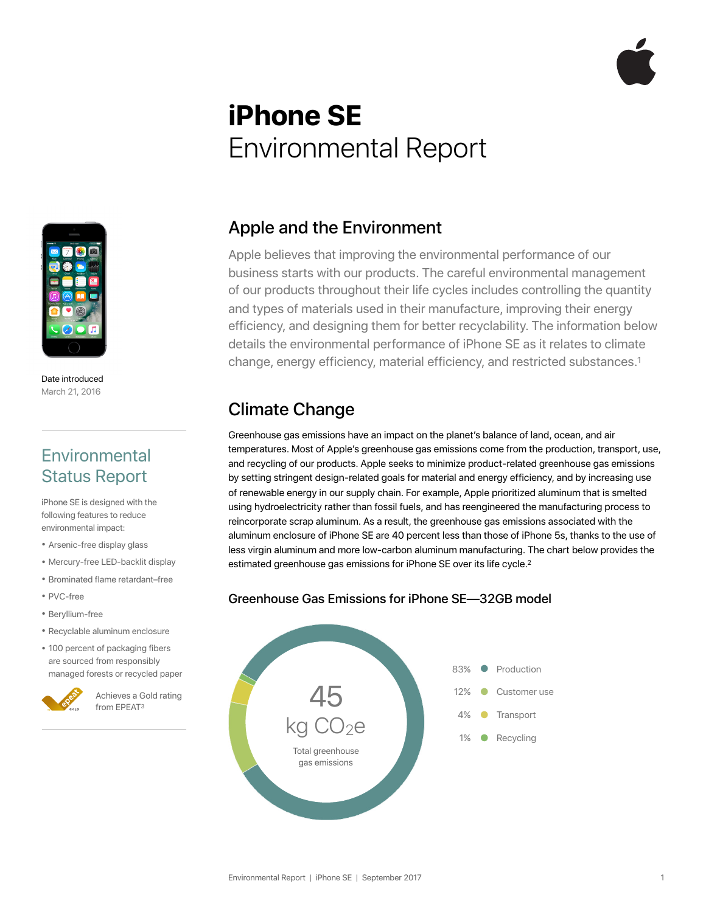# **iPhone SE**  Environmental Report



Date introduced March 21, 2016

#### **Environmental** Status Report

iPhone SE is designed with the following features to reduce environmental impact:

- Arsenic-free display glass
- Mercury-free LED-backlit display
- Brominated flame retardant–free
- PVC-free
- Beryllium-free
- Recyclable aluminum enclosure
- 100 percent of packaging fibers are sourced from responsibly managed forests or recycled paper

#### Apple and the Environment

Apple believes that improving the environmental performance of our business starts with our products. The careful environmental management of our products throughout their life cycles includes controlling the quantity and types of materials used in their manufacture, improving their energy efficiency, and designing them for better recyclability. The information below details the environmental performance of iPhone SE as it relates to climate change, energy efficiency, material efficiency, and restricted substances.1

## Climate Change

Greenhouse gas emissions have an impact on the planet's balance of land, ocean, and air temperatures. Most of Apple's greenhouse gas emissions come from the production, transport, use, and recycling of our products. Apple seeks to minimize product-related greenhouse gas emissions by setting stringent design-related goals for material and energy efficiency, and by increasing use of renewable energy in our supply chain. For example, Apple prioritized aluminum that is smelted using hydroelectricity rather than fossil fuels, and has reengineered the manufacturing process to reincorporate scrap aluminum. As a result, the greenhouse gas emissions associated with the aluminum enclosure of iPhone SE are 40 percent less than those of iPhone 5s, thanks to the use of less virgin aluminum and more low-carbon aluminum manufacturing. The chart below provides the estimated greenhouse gas emissions for iPhone SE over its life cycle.<sup>2</sup>

#### Greenhouse Gas Emissions for iPhone SE—32GB model

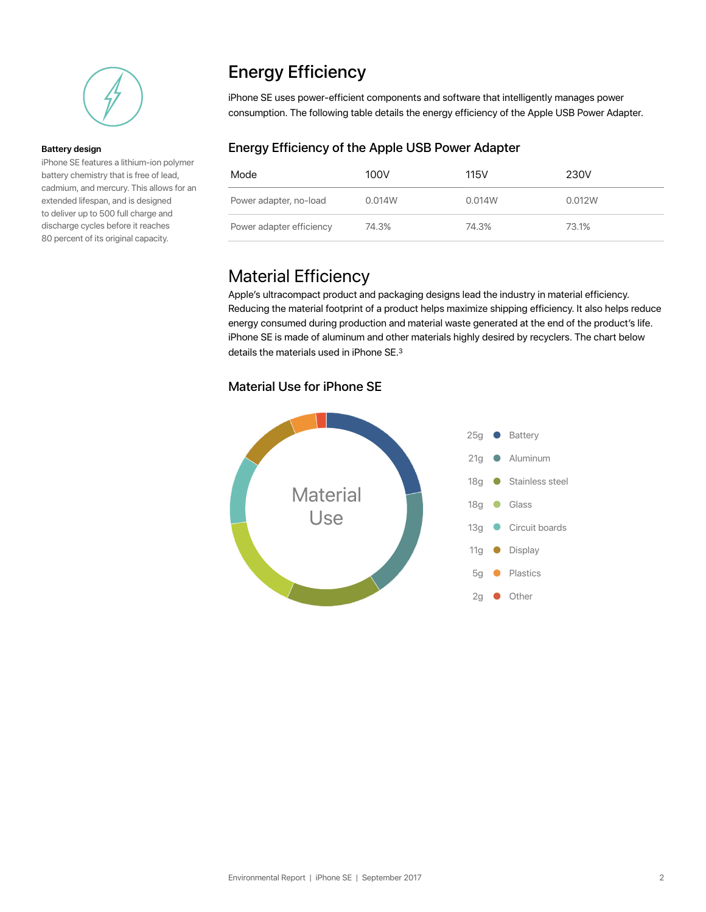

#### **Battery design**

iPhone SE features a lithium-ion polymer battery chemistry that is free of lead, cadmium, and mercury. This allows for an extended lifespan, and is designed to deliver up to 500 full charge and discharge cycles before it reaches 80 percent of its original capacity.

# Energy Efficiency

iPhone SE uses power-efficient components and software that intelligently manages power consumption. The following table details the energy efficiency of the Apple USB Power Adapter.

#### Energy Efficiency of the Apple USB Power Adapter

| Mode                     | 100V   | 115V   | 230V   |
|--------------------------|--------|--------|--------|
| Power adapter, no-load   | 0.014W | 0.014W | 0.012W |
| Power adapter efficiency | 74.3%  | 74.3%  | 73.1%  |

## Material Efficiency

Apple's ultracompact product and packaging designs lead the industry in material efficiency. Reducing the material footprint of a product helps maximize shipping efficiency. It also helps reduce energy consumed during production and material waste generated at the end of the product's life. iPhone SE is made of aluminum and other materials highly desired by recyclers. The chart below details the materials used in iPhone SE.3

#### Material Use for iPhone SE

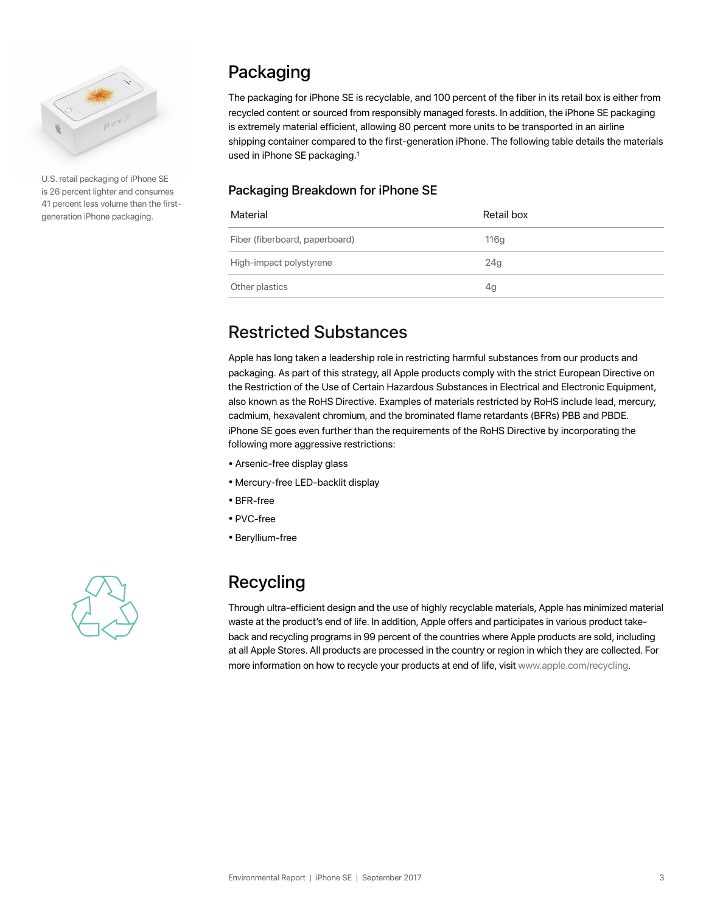

U.S. retail packaging of iPhone SE is 26 percent lighter and consumes 41 percent less volume than the firstgeneration iPhone packaging.

# Packaging

The packaging for iPhone SE is recyclable, and 100 percent of the fiber in its retail box is either from recycled content or sourced from responsibly managed forests. In addition, the iPhone SE packaging is extremely material efficient, allowing 80 percent more units to be transported in an airline shipping container compared to the first-generation iPhone. The following table details the materials used in iPhone SE packaging.1

#### Packaging Breakdown for iPhone SE

| Material                       | Retail box      |
|--------------------------------|-----------------|
| Fiber (fiberboard, paperboard) | 116g            |
| High-impact polystyrene        | 24 <sub>g</sub> |
| Other plastics                 | 4g              |

## Restricted Substances

Apple has long taken a leadership role in restricting harmful substances from our products and packaging. As part of this strategy, all Apple products comply with the strict European Directive on the Restriction of the Use of Certain Hazardous Substances in Electrical and Electronic Equipment, also known as the RoHS Directive. Examples of materials restricted by RoHS include lead, mercury, cadmium, hexavalent chromium, and the brominated flame retardants (BFRs) PBB and PBDE. iPhone SE goes even further than the requirements of the RoHS Directive by incorporating the following more aggressive restrictions:

- Arsenic-free display glass
- Mercury-free LED-backlit display
- BFR-free
- PVC-free
- Beryllium-free



# Recycling

Through ultra-efficient design and the use of highly recyclable materials, Apple has minimized material waste at the product's end of life. In addition, Apple offers and participates in various product takeback and recycling programs in 99 percent of the countries where Apple products are sold, including at all Apple Stores. All products are processed in the country or region in which they are collected. For more information on how to recycle your products at end of life, visit www.apple.com/recycling.